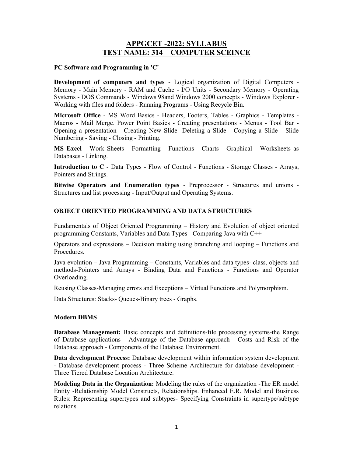## APPGCET -2022: SYLLABUS TEST NAME: 314 – COMPUTER SCEINCE

## PC Software and Programming in 'C'

Development of computers and types - Logical organization of Digital Computers -Memory ‐ Main Memory ‐ RAM and Cache ‐ I/O Units ‐ Secondary Memory ‐ Operating Systems ‐ DOS Commands ‐ Windows 98and Windows 2000 concepts ‐ Windows Explorer ‐ Working with files and folders ‐ Running Programs ‐ Using Recycle Bin.

Microsoft Office ‐ MS Word Basics ‐ Headers, Footers, Tables ‐ Graphics ‐ Templates ‐ Macros ‐ Mail Merge. Power Point Basics ‐ Creating presentations ‐ Menus ‐ Tool Bar ‐ Opening a presentation ‐ Creating New Slide ‐Deleting a Slide ‐ Copying a Slide ‐ Slide Numbering ‐ Saving ‐ Closing ‐ Printing.

MS Excel ‐ Work Sheets ‐ Formatting ‐ Functions ‐ Charts ‐ Graphical ‐ Worksheets as Databases ‐ Linking.

**Introduction to C** - Data Types - Flow of Control - Functions - Storage Classes - Arrays, Pointers and Strings.

Bitwise Operators and Enumeration types ‐ Preprocessor ‐ Structures and unions ‐ Structures and list processing ‐ Input/Output and Operating Systems.

## OBJECT ORIENTED PROGRAMMING AND DATA STRUCTURES

Fundamentals of Object Oriented Programming – History and Evolution of object oriented programming Constants, Variables and Data Types ‐ Comparing Java with C++

Operators and expressions – Decision making using branching and looping – Functions and Procedures.

Java evolution – Java Programming – Constants, Variables and data types‐ class, objects and methods‐Pointers and Arrays ‐ Binding Data and Functions ‐ Functions and Operator Overloading.

Reusing Classes‐Managing errors and Exceptions – Virtual Functions and Polymorphism.

Data Structures: Stacks‐ Queues‐Binary trees ‐ Graphs.

## Modern DBMS

Database Management: Basic concepts and definitions-file processing systems-the Range of Database applications ‐ Advantage of the Database approach ‐ Costs and Risk of the Database approach ‐ Components of the Database Environment.

Data development Process: Database development within information system development ‐ Database development process ‐ Three Scheme Architecture for database development ‐ Three Tiered Database Location Architecture.

Modeling Data in the Organization: Modeling the rules of the organization -The ER model Entity ‐Relationship Model Constructs, Relationships. Enhanced E.R. Model and Business Rules: Representing supertypes and subtypes‐ Specifying Constraints in supertype/subtype relations.